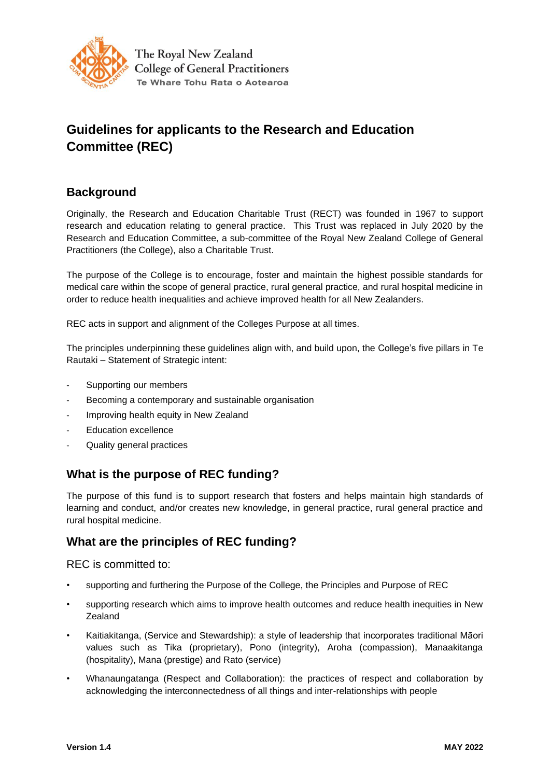

# **Guidelines for applicants to the Research and Education Committee (REC)**

### **Background**

Originally, the Research and Education Charitable Trust (RECT) was founded in 1967 to support research and education relating to general practice. This Trust was replaced in July 2020 by the Research and Education Committee, a sub-committee of the Royal New Zealand College of General Practitioners (the College), also a Charitable Trust.

The purpose of the College is to encourage, foster and maintain the highest possible standards for medical care within the scope of general practice, rural general practice, and rural hospital medicine in order to reduce health inequalities and achieve improved health for all New Zealanders.

REC acts in support and alignment of the Colleges Purpose at all times.

The principles underpinning these guidelines align with, and build upon, the College's five pillars in Te Rautaki – Statement of Strategic intent:

- Supporting our members
- Becoming a contemporary and sustainable organisation
- Improving health equity in New Zealand
- Education excellence
- Quality general practices

### **What is the purpose of REC funding?**

The purpose of this fund is to support research that fosters and helps maintain high standards of learning and conduct, and/or creates new knowledge, in general practice, rural general practice and rural hospital medicine.

### **What are the principles of REC funding?**

#### REC is committed to:

- supporting and furthering the Purpose of the College, the Principles and Purpose of REC
- supporting research which aims to improve health outcomes and reduce health inequities in New Zealand
- Kaitiakitanga, (Service and Stewardship): a style of leadership that incorporates traditional Māori values such as Tika (proprietary), Pono (integrity), Aroha (compassion), Manaakitanga (hospitality), Mana (prestige) and Rato (service)
- Whanaungatanga (Respect and Collaboration): the practices of respect and collaboration by acknowledging the interconnectedness of all things and inter-relationships with people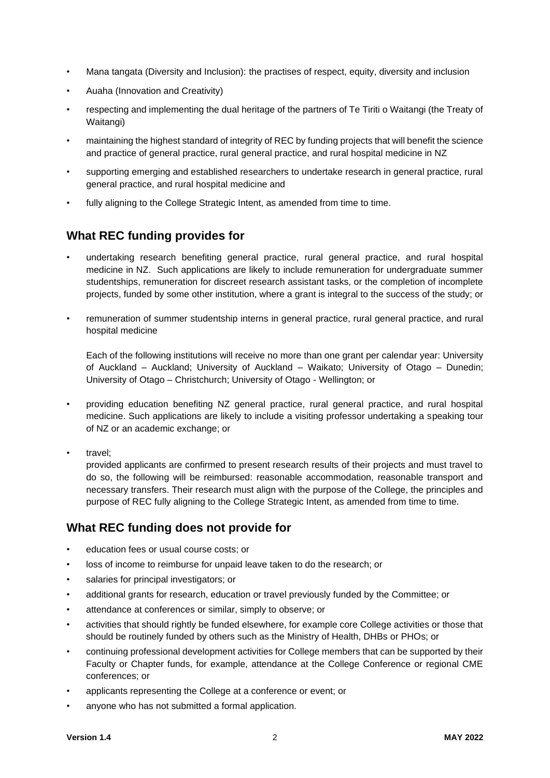- Mana tangata (Diversity and Inclusion): the practises of respect, equity, diversity and inclusion
- Auaha (Innovation and Creativity)
- respecting and implementing the dual heritage of the partners of Te Tiriti o Waitangi (the Treaty of Waitangi)
- maintaining the highest standard of integrity of REC by funding projects that will benefit the science and practice of general practice, rural general practice, and rural hospital medicine in NZ
- supporting emerging and established researchers to undertake research in general practice, rural general practice, and rural hospital medicine and
- fully aligning to the College Strategic Intent, as amended from time to time.

### **What REC funding provides for**

- undertaking research benefiting general practice, rural general practice, and rural hospital medicine in NZ. Such applications are likely to include remuneration for undergraduate summer studentships, remuneration for discreet research assistant tasks, or the completion of incomplete projects, funded by some other institution, where a grant is integral to the success of the study; or
- remuneration of summer studentship interns in general practice, rural general practice, and rural hospital medicine

Each of the following institutions will receive no more than one grant per calendar year: University of Auckland – Auckland; University of Auckland – Waikato; University of Otago – Dunedin; University of Otago – Christchurch; University of Otago - Wellington; or

• providing education benefiting NZ general practice, rural general practice, and rural hospital medicine. Such applications are likely to include a visiting professor undertaking a speaking tour of NZ or an academic exchange; or

• travel;

provided applicants are confirmed to present research results of their projects and must travel to do so, the following will be reimbursed: reasonable accommodation, reasonable transport and necessary transfers. Their research must align with the purpose of the College, the principles and purpose of REC fully aligning to the College Strategic Intent, as amended from time to time.

### **What REC funding does not provide for**

- education fees or usual course costs; or
- loss of income to reimburse for unpaid leave taken to do the research; or
- salaries for principal investigators; or
- additional grants for research, education or travel previously funded by the Committee; or
- attendance at conferences or similar, simply to observe; or
- activities that should rightly be funded elsewhere, for example core College activities or those that should be routinely funded by others such as the Ministry of Health, DHBs or PHOs; or
- continuing professional development activities for College members that can be supported by their Faculty or Chapter funds, for example, attendance at the College Conference or regional CME conferences; or
- applicants representing the College at a conference or event; or
- anyone who has not submitted a formal application.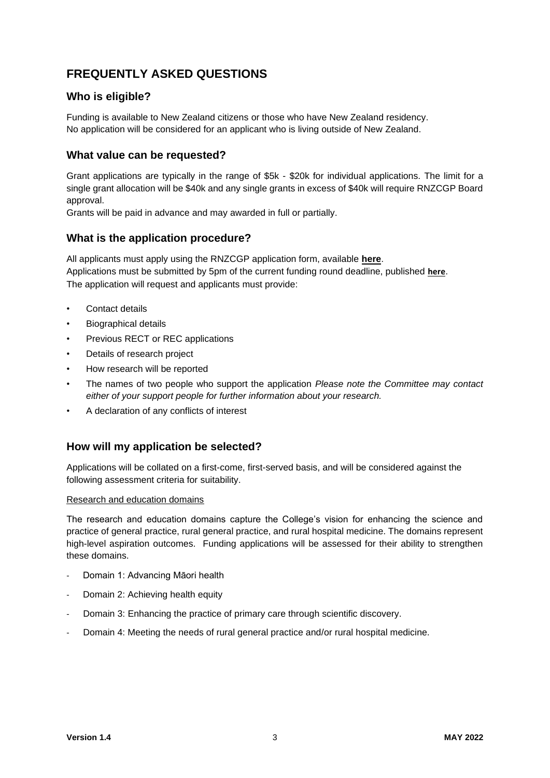## **FREQUENTLY ASKED QUESTIONS**

#### **Who is eligible?**

Funding is available to New Zealand citizens or those who have New Zealand residency. No application will be considered for an applicant who is living outside of New Zealand.

#### **What value can be requested?**

Grant applications are typically in the range of \$5k - \$20k for individual applications. The limit for a single grant allocation will be \$40k and any single grants in excess of \$40k will require RNZCGP Board approval.

Grants will be paid in advance and may awarded in full or partially.

#### **What is the application procedure?**

All applicants must apply using the RNZCGP application form, available **[here](https://rnzcgp.org.nz/gpdocs/new-website/dashboard/resources/REC-Application-form-2020-web.pdf)**. Applications must be submitted by 5pm of the current funding round deadline, published **[here](https://rnzcgp.org.nz/RNZCGP/Dashboard/Member_resources/Research_and_Education_Committee/RNZCGP/Dashboard/Resources/Research_and_Education_Committee.aspx?hkey=1aa4b5f9-f592-4fe8-8348-3964bc37ca0c)**. The application will request and applicants must provide:

- Contact details
- Biographical details
- Previous RECT or REC applications
- Details of research project
- How research will be reported
- The names of two people who support the application *Please note the Committee may contact either of your support people for further information about your research.*
- A declaration of any conflicts of interest

#### **How will my application be selected?**

Applications will be collated on a first-come, first-served basis, and will be considered against the following assessment criteria for suitability.

#### Research and education domains

The research and education domains capture the College's vision for enhancing the science and practice of general practice, rural general practice, and rural hospital medicine. The domains represent high-level aspiration outcomes. Funding applications will be assessed for their ability to strengthen these domains.

- Domain 1: Advancing Māori health
- Domain 2: Achieving health equity
- Domain 3: Enhancing the practice of primary care through scientific discovery.
- Domain 4: Meeting the needs of rural general practice and/or rural hospital medicine.